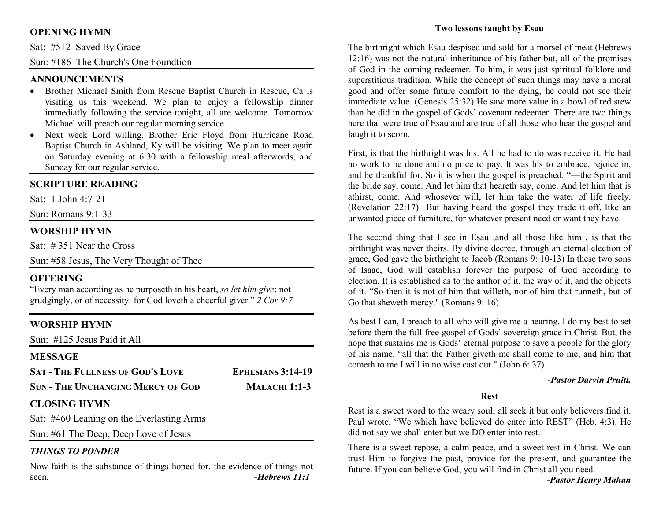# **OPENING HYMN**

Sat: #512 Saved By Grace

Sun: #186 The Church's One Foundtion

#### **ANNOUNCEMENTS**

- Brother Michael Smith from Rescue Baptist Church in Rescue, Ca is visiting us this weekend. We plan to enjoy a fellowship dinner immediatly following the service tonight, all are welcome. Tomorrow Michael will preach our regular morning service.
- Next week Lord willing, Brother Eric Floyd from Hurricane Road •Baptist Church in Ashland, Ky will be visiting. We plan to meet again on Saturday evening at 6:30 with a fellowship meal afterwords, and Sunday for our regular service.

#### **SCRIPTURE READING**

Sat: 1 John 4:7-21

Sun: Romans 9:1-33

# **WORSHIP HYMN**

Sat:  $\#$  351 Near the Cross

Sun: #58 Jesus, The Very Thought of Thee

# **OFFERING**

 "Every man according as he purposeth in his heart, *so let him give*; not grudgingly, or of necessity: for God loveth a cheerful giver." *2 Cor 9:7*

# **WORSHIP HYMN**

Sun: #125 Jesus Paid it All

#### **MESSAGE**

| <b>SAT - THE FULLNESS OF GOD'S LOVE</b>  | <b>EPHESIANS 3:14-19</b> |
|------------------------------------------|--------------------------|
| <b>SUN - THE UNCHANGING MERCY OF GOD</b> | <b>MALACHI 1:1-3</b>     |

# **CLOSING HYMN**

Sat: #460 Leaning on the Everlasting Arms

Sun: #61 The Deep, Deep Love of Jesus

# *THINGS TO PONDER*

 Now faith is the substance of things hoped for, the evidence of things not seen. *-Hebrews 11:1*

# **Two lessons taught by Esau**

The birthright which Esau despised and sold for a morsel of meat (Hebrews 12:16) was not the natural inheritance of his father but, all of the promises of God in the coming redeemer. To him, it was just spiritual folklore and superstitious tradition. While the concept of such things may have a moral good and offer some future comfort to the dying, he could not see their immediate value. (Genesis 25:32) He saw more value in a bowl of red stew than he did in the gospel of Gods' covenant redeemer. There are two things here that were true of Esau and are true of all those who hear the gospel and laugh it to scorn.

First, is that the birthright was his. All he had to do was receive it. He had no work to be done and no price to pay. It was his to embrace, rejoice in, and be thankful for. So it is when the gospel is preached. "—the Spirit and the bride say, come. And let him that heareth say, come. And let him that is athirst, come. And whosever will, let him take the water of life freely. (Revelation 22:17) But having heard the gospel they trade it off, like an unwanted piece of furniture, for whatever present need or want they have.

The second thing that I see in Esau ,and all those like him , is that the birthright was never theirs. By divine decree, through an eternal election of grace, God gave the birthright to Jacob (Romans 9: 10-13) In these two sons of Isaac, God will establish forever the purpose of God according to election. It is established as to the author of it, the way of it, and the objects of it. "So then it is not of him that willeth, nor of him that runneth, but of Go that sheweth mercy." (Romans 9: 16)

As best I can, I preach to all who will give me a hearing. I do my best to set before them the full free gospel of Gods' sovereign grace in Christ. But, the hope that sustains me is Gods' eternal purpose to save a people for the glory of his name. "all that the Father giveth me shall come to me; and him that cometh to me I will in no wise cast out." (John 6: 37)

#### *-Pastor Darvin Pruitt.*

#### **Rest**

Rest is a sweet word to the weary soul; all seek it but only believers find it. Paul wrote, "We which have believed do enter into REST" (Heb. 4:3). He did not say we shall enter but we DO enter into rest.

There is a sweet repose, a calm peace, and a sweet rest in Christ. We can trust Him to forgive the past, provide for the present, and guarantee the future. If you can believe God, you will find in Christ all you need.